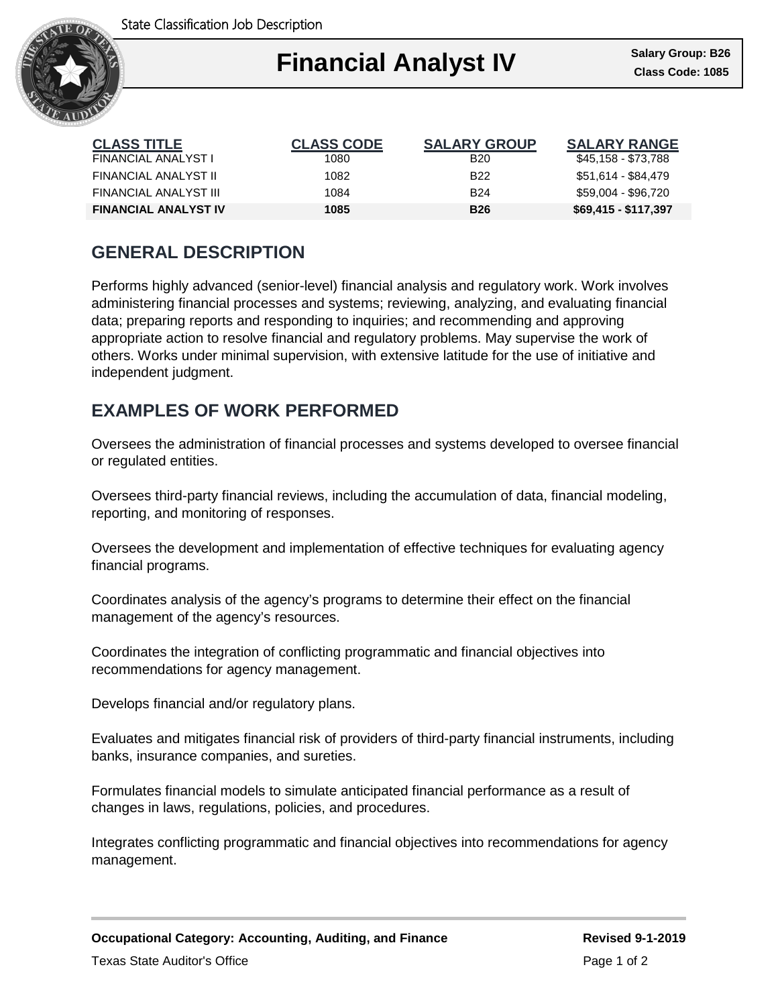

### Ι **Financial Analyst IV Class Code: 1085**

| <b>CLASS TITLE</b>          | <b>CLASS CODE</b> | <b>SALARY GROUP</b> | <b>SALARY RANGE</b>  |
|-----------------------------|-------------------|---------------------|----------------------|
| FINANCIAL ANALYST I         | 1080              | <b>B20</b>          | \$45,158 - \$73,788  |
| FINANCIAL ANALYST II        | 1082              | B <sub>22</sub>     | \$51,614 - \$84,479  |
| FINANCIAL ANALYST III       | 1084              | <b>B24</b>          | \$59.004 - \$96.720  |
| <b>FINANCIAL ANALYST IV</b> | 1085              | <b>B26</b>          | \$69,415 - \$117,397 |

## **GENERAL DESCRIPTION**

Performs highly advanced (senior-level) financial analysis and regulatory work. Work involves administering financial processes and systems; reviewing, analyzing, and evaluating financial data; preparing reports and responding to inquiries; and recommending and approving appropriate action to resolve financial and regulatory problems. May supervise the work of others. Works under minimal supervision, with extensive latitude for the use of initiative and independent judgment.

### **EXAMPLES OF WORK PERFORMED**

Oversees the administration of financial processes and systems developed to oversee financial or regulated entities.

Oversees third-party financial reviews, including the accumulation of data, financial modeling, reporting, and monitoring of responses.

Oversees the development and implementation of effective techniques for evaluating agency financial programs.

Coordinates analysis of the agency's programs to determine their effect on the financial management of the agency's resources.

Coordinates the integration of conflicting programmatic and financial objectives into recommendations for agency management.

Develops financial and/or regulatory plans.

Evaluates and mitigates financial risk of providers of third-party financial instruments, including banks, insurance companies, and sureties.

Formulates financial models to simulate anticipated financial performance as a result of changes in laws, regulations, policies, and procedures.

Integrates conflicting programmatic and financial objectives into recommendations for agency management.